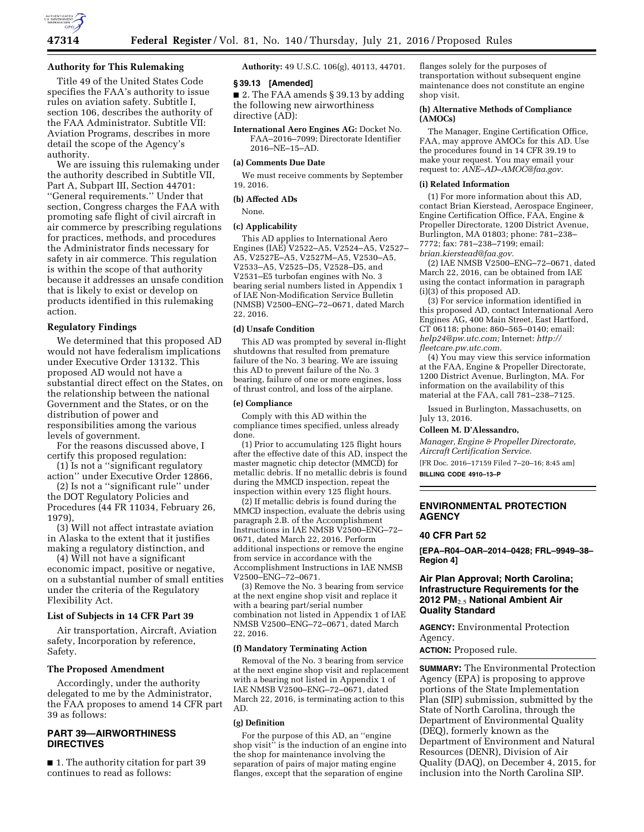

## **Authority for This Rulemaking**

Title 49 of the United States Code specifies the FAA's authority to issue rules on aviation safety. Subtitle I, section 106, describes the authority of the FAA Administrator. Subtitle VII: Aviation Programs, describes in more detail the scope of the Agency's authority.

We are issuing this rulemaking under the authority described in Subtitle VII, Part A, Subpart III, Section 44701: ''General requirements.'' Under that section, Congress charges the FAA with promoting safe flight of civil aircraft in air commerce by prescribing regulations for practices, methods, and procedures the Administrator finds necessary for safety in air commerce. This regulation is within the scope of that authority because it addresses an unsafe condition that is likely to exist or develop on products identified in this rulemaking action.

## **Regulatory Findings**

We determined that this proposed AD would not have federalism implications under Executive Order 13132. This proposed AD would not have a substantial direct effect on the States, on the relationship between the national Government and the States, or on the distribution of power and responsibilities among the various levels of government.

For the reasons discussed above, I certify this proposed regulation:

(1) Is not a ''significant regulatory action'' under Executive Order 12866,

(2) Is not a ''significant rule'' under the DOT Regulatory Policies and Procedures (44 FR 11034, February 26, 1979),

(3) Will not affect intrastate aviation in Alaska to the extent that it justifies making a regulatory distinction, and

(4) Will not have a significant economic impact, positive or negative, on a substantial number of small entities under the criteria of the Regulatory Flexibility Act.

## **List of Subjects in 14 CFR Part 39**

Air transportation, Aircraft, Aviation safety, Incorporation by reference, Safety.

## **The Proposed Amendment**

Accordingly, under the authority delegated to me by the Administrator, the FAA proposes to amend 14 CFR part 39 as follows:

# **PART 39—AIRWORTHINESS DIRECTIVES**

■ 1. The authority citation for part 39 continues to read as follows:

**Authority:** 49 U.S.C. 106(g), 40113, 44701.

### **§ 39.13 [Amended]**

■ 2. The FAA amends § 39.13 by adding the following new airworthiness directive (AD):

**International Aero Engines AG:** Docket No. FAA–2016–7099; Directorate Identifier 2016–NE–15–AD.

### **(a) Comments Due Date**

We must receive comments by September 19, 2016.

### **(b) Affected ADs**

None.

#### **(c) Applicability**

This AD applies to International Aero Engines (IAE) V2522–A5, V2524–A5, V2527– A5, V2527E–A5, V2527M–A5, V2530–A5, V2533–A5, V2525–D5, V2528–D5, and V2531–E5 turbofan engines with No. 3 bearing serial numbers listed in Appendix 1 of IAE Non-Modification Service Bulletin (NMSB) V2500–ENG–72–0671, dated March 22, 2016.

#### **(d) Unsafe Condition**

This AD was prompted by several in-flight shutdowns that resulted from premature failure of the No. 3 bearing. We are issuing this AD to prevent failure of the No. 3 bearing, failure of one or more engines, loss of thrust control, and loss of the airplane.

### **(e) Compliance**

Comply with this AD within the compliance times specified, unless already done.

(1) Prior to accumulating 125 flight hours after the effective date of this AD, inspect the master magnetic chip detector (MMCD) for metallic debris. If no metallic debris is found during the MMCD inspection, repeat the inspection within every 125 flight hours.

(2) If metallic debris is found during the MMCD inspection, evaluate the debris using paragraph 2.B. of the Accomplishment Instructions in IAE NMSB V2500–ENG–72– 0671, dated March 22, 2016. Perform additional inspections or remove the engine from service in accordance with the Accomplishment Instructions in IAE NMSB V2500–ENG–72–0671.

(3) Remove the No. 3 bearing from service at the next engine shop visit and replace it with a bearing part/serial number combination not listed in Appendix 1 of IAE NMSB V2500–ENG–72–0671, dated March 22, 2016.

### **(f) Mandatory Terminating Action**

Removal of the No. 3 bearing from service at the next engine shop visit and replacement with a bearing not listed in Appendix 1 of IAE NMSB V2500–ENG–72–0671, dated March 22, 2016, is terminating action to this AD.

## **(g) Definition**

For the purpose of this AD, an ''engine shop visit'' is the induction of an engine into the shop for maintenance involving the separation of pairs of major mating engine flanges, except that the separation of engine

flanges solely for the purposes of transportation without subsequent engine maintenance does not constitute an engine shop visit.

### **(h) Alternative Methods of Compliance (AMOCs)**

The Manager, Engine Certification Office, FAA, may approve AMOCs for this AD. Use the procedures found in 14 CFR 39.19 to make your request. You may email your request to: *[ANE–AD–AMOC@faa.gov.](mailto:ANE-AD-AMOC@faa.gov)* 

#### **(i) Related Information**

(1) For more information about this AD, contact Brian Kierstead, Aerospace Engineer, Engine Certification Office, FAA, Engine & Propeller Directorate, 1200 District Avenue, Burlington, MA 01803; phone: 781–238– 7772; fax: 781–238–7199; email: *[brian.kierstead@faa.gov.](mailto:brian.kierstead@faa.gov)* 

(2) IAE NMSB V2500–ENG–72–0671, dated March 22, 2016, can be obtained from IAE using the contact information in paragraph (i)(3) of this proposed AD.

(3) For service information identified in this proposed AD, contact International Aero Engines AG, 400 Main Street, East Hartford, CT 06118; phone: 860–565–0140; email: *[help24@pw.utc.com;](mailto:help24@pw.utc.com)* Internet: *[http://](http://fleetcare.pw.utc.com) [fleetcare.pw.utc.com.](http://fleetcare.pw.utc.com)* 

(4) You may view this service information at the FAA, Engine & Propeller Directorate, 1200 District Avenue, Burlington, MA. For information on the availability of this material at the FAA, call 781–238–7125.

Issued in Burlington, Massachusetts, on July 13, 2016.

#### **Colleen M. D'Alessandro,**

*Manager, Engine & Propeller Directorate, Aircraft Certification Service.* 

[FR Doc. 2016–17159 Filed 7–20–16; 8:45 am] **BILLING CODE 4910–13–P** 

## **ENVIRONMENTAL PROTECTION AGENCY**

## **40 CFR Part 52**

**[EPA–R04–OAR–2014–0428; FRL–9949–38– Region 4]** 

## **Air Plan Approval; North Carolina; Infrastructure Requirements for the 2012 PM**2.5 **National Ambient Air Quality Standard**

**AGENCY:** Environmental Protection Agency.

**ACTION:** Proposed rule.

**SUMMARY:** The Environmental Protection Agency (EPA) is proposing to approve portions of the State Implementation Plan (SIP) submission, submitted by the State of North Carolina, through the Department of Environmental Quality (DEQ), formerly known as the Department of Environment and Natural Resources (DENR), Division of Air Quality (DAQ), on December 4, 2015, for inclusion into the North Carolina SIP.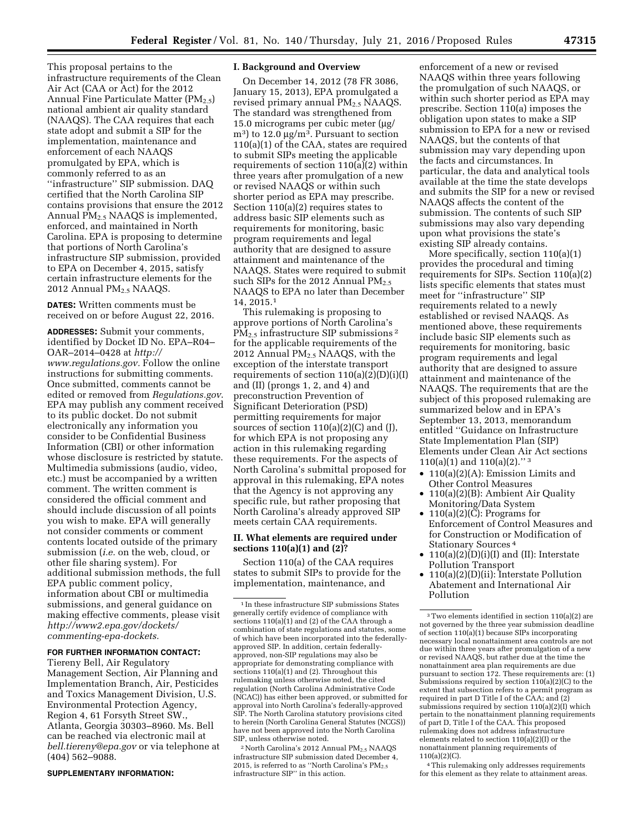This proposal pertains to the infrastructure requirements of the Clean Air Act (CAA or Act) for the 2012 Annual Fine Particulate Matter  $(PM_{2.5})$ national ambient air quality standard (NAAQS). The CAA requires that each state adopt and submit a SIP for the implementation, maintenance and enforcement of each NAAQS promulgated by EPA, which is commonly referred to as an ''infrastructure'' SIP submission. DAQ certified that the North Carolina SIP contains provisions that ensure the 2012 Annual  $PM<sub>2.5</sub> NAAGS$  is implemented, enforced, and maintained in North Carolina. EPA is proposing to determine that portions of North Carolina's infrastructure SIP submission, provided to EPA on December 4, 2015, satisfy certain infrastructure elements for the 2012 Annual PM<sub>2.5</sub> NAAQS.

**DATES:** Written comments must be received on or before August 22, 2016.

**ADDRESSES:** Submit your comments, identified by Docket ID No. EPA–R04– OAR–2014–0428 at *[http://](http://www.regulations.gov) [www.regulations.gov.](http://www.regulations.gov)* Follow the online instructions for submitting comments. Once submitted, comments cannot be edited or removed from *Regulations.gov*. EPA may publish any comment received to its public docket. Do not submit electronically any information you consider to be Confidential Business Information (CBI) or other information whose disclosure is restricted by statute. Multimedia submissions (audio, video, etc.) must be accompanied by a written comment. The written comment is considered the official comment and should include discussion of all points you wish to make. EPA will generally not consider comments or comment contents located outside of the primary submission (*i.e.* on the web, cloud, or other file sharing system). For additional submission methods, the full EPA public comment policy, information about CBI or multimedia submissions, and general guidance on making effective comments, please visit *[http://www2.epa.gov/dockets/](http://www2.epa.gov/dockets/commenting-epa-dockets) [commenting-epa-dockets.](http://www2.epa.gov/dockets/commenting-epa-dockets)* 

## **FOR FURTHER INFORMATION CONTACT:**

Tiereny Bell, Air Regulatory Management Section, Air Planning and Implementation Branch, Air, Pesticides and Toxics Management Division, U.S. Environmental Protection Agency, Region 4, 61 Forsyth Street SW., Atlanta, Georgia 30303–8960. Ms. Bell can be reached via electronic mail at *[bell.tiereny@epa.gov](mailto:bell.tiereny@epa.gov)* or via telephone at (404) 562–9088.

#### **SUPPLEMENTARY INFORMATION:**

### **I. Background and Overview**

On December 14, 2012 (78 FR 3086, January 15, 2013), EPA promulgated a revised primary annual  $PM_{2.5}$  NAAQS. The standard was strengthened from 15.0 micrograms per cubic meter  $\mu$ g/  $\text{m}^3$ ) to 12.0  $\mu \text{g/m}^3$ . Pursuant to section 110(a)(1) of the CAA, states are required to submit SIPs meeting the applicable requirements of section 110(a)(2) within three years after promulgation of a new or revised NAAQS or within such shorter period as EPA may prescribe. Section 110(a)(2) requires states to address basic SIP elements such as requirements for monitoring, basic program requirements and legal authority that are designed to assure attainment and maintenance of the NAAQS. States were required to submit such SIPs for the 2012 Annual  $PM_{2.5}$ NAAQS to EPA no later than December 14, 2015.1

This rulemaking is proposing to approve portions of North Carolina's  $PM<sub>2</sub>$ , infrastructure SIP submissions <sup>2</sup> for the applicable requirements of the 2012 Annual PM2.5 NAAQS, with the exception of the interstate transport requirements of section  $110(a)(2)(D)(i)(I)$ and (II) (prongs 1, 2, and 4) and preconstruction Prevention of Significant Deterioration (PSD) permitting requirements for major sources of section  $110(a)(2)(C)$  and  $(J)$ , for which EPA is not proposing any action in this rulemaking regarding these requirements. For the aspects of North Carolina's submittal proposed for approval in this rulemaking, EPA notes that the Agency is not approving any specific rule, but rather proposing that North Carolina's already approved SIP meets certain CAA requirements.

## **II. What elements are required under sections 110(a)(1) and (2)?**

Section 110(a) of the CAA requires states to submit SIPs to provide for the implementation, maintenance, and

<sup>2</sup> North Carolina's 2012 Annual PM<sub>2.5</sub> NAAQS infrastructure SIP submission dated December 4, 2015, is referred to as "North Carolina's  $PM_{2.5}$ infrastructure SIP'' in this action.

enforcement of a new or revised NAAQS within three years following the promulgation of such NAAQS, or within such shorter period as EPA may prescribe. Section 110(a) imposes the obligation upon states to make a SIP submission to EPA for a new or revised NAAQS, but the contents of that submission may vary depending upon the facts and circumstances. In particular, the data and analytical tools available at the time the state develops and submits the SIP for a new or revised NAAQS affects the content of the submission. The contents of such SIP submissions may also vary depending upon what provisions the state's existing SIP already contains.

More specifically, section 110(a)(1) provides the procedural and timing requirements for SIPs. Section 110(a)(2) lists specific elements that states must meet for ''infrastructure'' SIP requirements related to a newly established or revised NAAQS. As mentioned above, these requirements include basic SIP elements such as requirements for monitoring, basic program requirements and legal authority that are designed to assure attainment and maintenance of the NAAQS. The requirements that are the subject of this proposed rulemaking are summarized below and in EPA's September 13, 2013, memorandum entitled ''Guidance on Infrastructure State Implementation Plan (SIP) Elements under Clean Air Act sections 110(a)(1) and 110(a)(2)." 3

- 110(a)(2)(A): Emission Limits and Other Control Measures
- 110(a)(2)(B): Ambient Air Quality Monitoring/Data System
- 110(a)(2)( $\overline{C}$ ): Programs for Enforcement of Control Measures and for Construction or Modification of Stationary Sources 4
- $110(a)(2)(D)(i)(I)$  and (II): Interstate Pollution Transport
- 110(a)(2)(D)(ii): Interstate Pollution Abatement and International Air Pollution

4This rulemaking only addresses requirements for this element as they relate to attainment areas.

<sup>1</sup> In these infrastructure SIP submissions States generally certify evidence of compliance with sections  $110(a)(1)$  and  $(2)$  of the CAA through a combination of state regulations and statutes, some of which have been incorporated into the federallyapproved SIP. In addition, certain federallyapproved, non-SIP regulations may also be appropriate for demonstrating compliance with sections 110(a)(1) and (2). Throughout this rulemaking unless otherwise noted, the cited regulation (North Carolina Administrative Code (NCAC)) has either been approved, or submitted for approval into North Carolina's federally-approved SIP. The North Carolina statutory provisions cited to herein (North Carolina General Statutes (NCGS)) have not been approved into the North Carolina SIP, unless otherwise noted.

<sup>3</sup>Two elements identified in section 110(a)(2) are not governed by the three year submission deadline of section 110(a)(1) because SIPs incorporating necessary local nonattainment area controls are not due within three years after promulgation of a new or revised NAAQS, but rather due at the time the nonattainment area plan requirements are due pursuant to section 172. These requirements are: (1) Submissions required by section 110(a)(2)(C) to the extent that subsection refers to a permit program as required in part D Title I of the CAA; and (2) submissions required by section 110(a)(2)(I) which pertain to the nonattainment planning requirements of part D, Title I of the CAA. This proposed rulemaking does not address infrastructure elements related to section 110(a)(2)(I) or the nonattainment planning requirements of 110(a)(2)(C).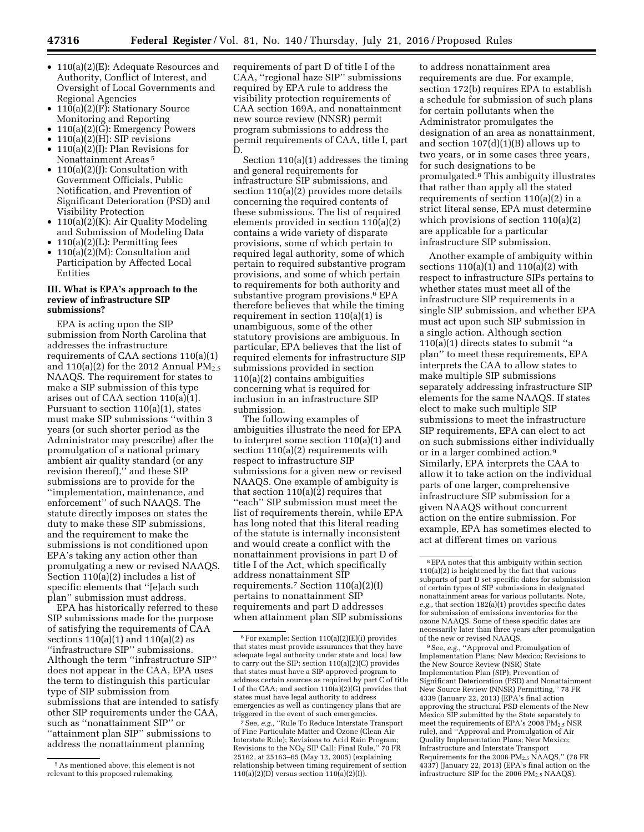- 110(a)(2)(E): Adequate Resources and Authority, Conflict of Interest, and Oversight of Local Governments and Regional Agencies
- $110(a)(2)(F)$ : Stationary Source Monitoring and Reporting
- 110(a)(2)(G): Emergency Powers
- $110(a)(2)(H)$ : SIP revisions
- 110(a)(2)(I): Plan Revisions for Nonattainment Areas 5
- 110(a)(2)(J): Consultation with Government Officials, Public Notification, and Prevention of Significant Deterioration (PSD) and Visibility Protection
- $110(a)(2)(K)$ : Air Quality Modeling and Submission of Modeling Data
- $110(a)(2)(L)$ : Permitting fees
- 110(a)(2)(M): Consultation and Participation by Affected Local Entities

# **III. What is EPA's approach to the review of infrastructure SIP submissions?**

EPA is acting upon the SIP submission from North Carolina that addresses the infrastructure requirements of CAA sections 110(a)(1) and  $110(a)(2)$  for the 2012 Annual  $PM_{2.5}$ NAAQS. The requirement for states to make a SIP submission of this type arises out of CAA section 110(a)(1). Pursuant to section 110(a)(1), states must make SIP submissions ''within 3 years (or such shorter period as the Administrator may prescribe) after the promulgation of a national primary ambient air quality standard (or any revision thereof),'' and these SIP submissions are to provide for the ''implementation, maintenance, and enforcement'' of such NAAQS. The statute directly imposes on states the duty to make these SIP submissions, and the requirement to make the submissions is not conditioned upon EPA's taking any action other than promulgating a new or revised NAAQS. Section 110(a)(2) includes a list of specific elements that ''[e]ach such plan'' submission must address.

EPA has historically referred to these SIP submissions made for the purpose of satisfying the requirements of CAA sections  $110(a)(1)$  and  $110(a)(2)$  as ''infrastructure SIP'' submissions. Although the term ''infrastructure SIP'' does not appear in the CAA, EPA uses the term to distinguish this particular type of SIP submission from submissions that are intended to satisfy other SIP requirements under the CAA, such as ''nonattainment SIP'' or ''attainment plan SIP'' submissions to address the nonattainment planning

requirements of part D of title I of the CAA, ''regional haze SIP'' submissions required by EPA rule to address the visibility protection requirements of CAA section 169A, and nonattainment new source review (NNSR) permit program submissions to address the permit requirements of CAA, title I, part D.

Section 110(a)(1) addresses the timing and general requirements for infrastructure SIP submissions, and section 110(a)(2) provides more details concerning the required contents of these submissions. The list of required elements provided in section 110(a)(2) contains a wide variety of disparate provisions, some of which pertain to required legal authority, some of which pertain to required substantive program provisions, and some of which pertain to requirements for both authority and substantive program provisions.<sup>6</sup> EPA therefore believes that while the timing requirement in section 110(a)(1) is unambiguous, some of the other statutory provisions are ambiguous. In particular, EPA believes that the list of required elements for infrastructure SIP submissions provided in section 110(a)(2) contains ambiguities concerning what is required for inclusion in an infrastructure SIP submission.

The following examples of ambiguities illustrate the need for EPA to interpret some section 110(a)(1) and section 110(a)(2) requirements with respect to infrastructure SIP submissions for a given new or revised NAAQS. One example of ambiguity is that section 110(a)(2) requires that ''each'' SIP submission must meet the list of requirements therein, while EPA has long noted that this literal reading of the statute is internally inconsistent and would create a conflict with the nonattainment provisions in part D of title I of the Act, which specifically address nonattainment SIP requirements.7 Section 110(a)(2)(I) pertains to nonattainment SIP requirements and part D addresses when attainment plan SIP submissions

to address nonattainment area requirements are due. For example, section 172(b) requires EPA to establish a schedule for submission of such plans for certain pollutants when the Administrator promulgates the designation of an area as nonattainment, and section  $107(d)(1)(B)$  allows up to two years, or in some cases three years, for such designations to be promulgated.8 This ambiguity illustrates that rather than apply all the stated requirements of section 110(a)(2) in a strict literal sense, EPA must determine which provisions of section 110(a)(2) are applicable for a particular infrastructure SIP submission.

Another example of ambiguity within sections  $110(a)(1)$  and  $110(a)(2)$  with respect to infrastructure SIPs pertains to whether states must meet all of the infrastructure SIP requirements in a single SIP submission, and whether EPA must act upon such SIP submission in a single action. Although section  $110(a)(1)$  directs states to submit "a plan'' to meet these requirements, EPA interprets the CAA to allow states to make multiple SIP submissions separately addressing infrastructure SIP elements for the same NAAQS. If states elect to make such multiple SIP submissions to meet the infrastructure SIP requirements, EPA can elect to act on such submissions either individually or in a larger combined action.9 Similarly, EPA interprets the CAA to allow it to take action on the individual parts of one larger, comprehensive infrastructure SIP submission for a given NAAQS without concurrent action on the entire submission. For example, EPA has sometimes elected to act at different times on various

9See, *e.g.,* ''Approval and Promulgation of Implementation Plans; New Mexico; Revisions to the New Source Review (NSR) State Implementation Plan (SIP); Prevention of Significant Deterioration (PSD) and Nonattainment New Source Review (NNSR) Permitting,'' 78 FR 4339 (January 22, 2013) (EPA's final action approving the structural PSD elements of the New Mexico SIP submitted by the State separately to meet the requirements of EPA's  $2008 \text{ PM}_{2.5} \text{ NSR}$ rule), and ''Approval and Promulgation of Air Quality Implementation Plans; New Mexico; Infrastructure and Interstate Transport Requirements for the 2006 PM2.5 NAAQS,'' (78 FR 4337) (January 22, 2013) (EPA's final action on the infrastructure SIP for the 2006  $PM_{2.5}$  NAAQS).

<sup>5</sup>As mentioned above, this element is not relevant to this proposed rulemaking.

<sup>6</sup>For example: Section 110(a)(2)(E)(i) provides that states must provide assurances that they have adequate legal authority under state and local law to carry out the SIP; section 110(a)(2)(C) provides that states must have a SIP-approved program to address certain sources as required by part C of title I of the CAA; and section 110(a)(2)(G) provides that states must have legal authority to address emergencies as well as contingency plans that are triggered in the event of such emergencies.

<sup>7</sup>See, *e.g.,* ''Rule To Reduce Interstate Transport of Fine Particulate Matter and Ozone (Clean Air Interstate Rule); Revisions to Acid Rain Program; Revisions to the  $NO<sub>x</sub>$  SIP Call; Final Rule," 70 FR 25162, at 25163–65 (May 12, 2005) (explaining relationship between timing requirement of section  $110(a)(2)(D)$  versus section  $110(a)(2)(I)$ .

<sup>8</sup>EPA notes that this ambiguity within section 110(a)(2) is heightened by the fact that various subparts of part D set specific dates for submission of certain types of SIP submissions in designated nonattainment areas for various pollutants. Note, *e.g.,* that section 182(a)(1) provides specific dates for submission of emissions inventories for the ozone NAAQS. Some of these specific dates are necessarily later than three years after promulgation of the new or revised NAAQS.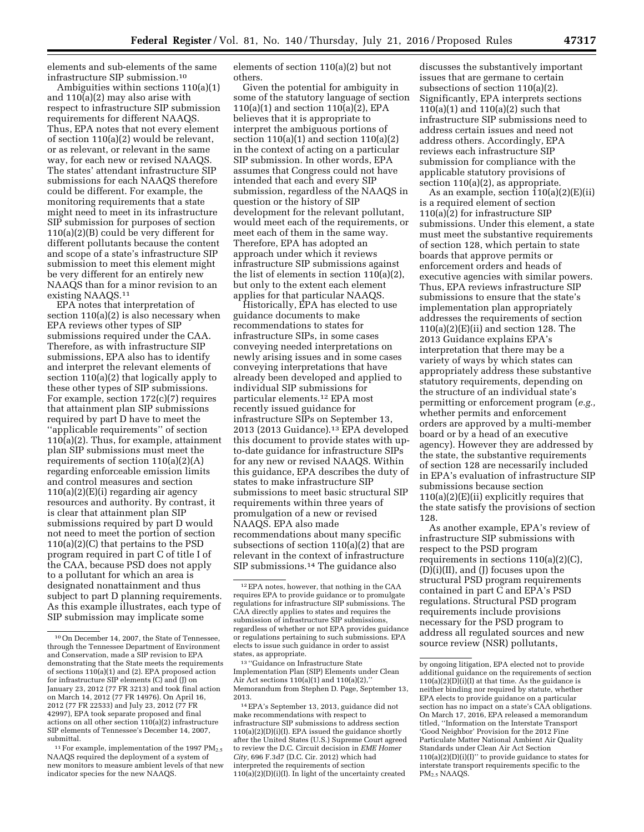elements and sub-elements of the same infrastructure SIP submission.10

Ambiguities within sections 110(a)(1) and 110(a)(2) may also arise with respect to infrastructure SIP submission requirements for different NAAQS. Thus, EPA notes that not every element of section 110(a)(2) would be relevant, or as relevant, or relevant in the same way, for each new or revised NAAQS. The states' attendant infrastructure SIP submissions for each NAAQS therefore could be different. For example, the monitoring requirements that a state might need to meet in its infrastructure SIP submission for purposes of section 110(a)(2)(B) could be very different for different pollutants because the content and scope of a state's infrastructure SIP submission to meet this element might be very different for an entirely new NAAQS than for a minor revision to an existing NAAQS.11

EPA notes that interpretation of section 110(a)(2) is also necessary when EPA reviews other types of SIP submissions required under the CAA. Therefore, as with infrastructure SIP submissions, EPA also has to identify and interpret the relevant elements of section 110(a)(2) that logically apply to these other types of SIP submissions. For example, section 172(c)(7) requires that attainment plan SIP submissions required by part D have to meet the ''applicable requirements'' of section 110(a)(2). Thus, for example, attainment plan SIP submissions must meet the requirements of section  $110(a)(2)(A)$ regarding enforceable emission limits and control measures and section 110(a)(2)(E)(i) regarding air agency resources and authority. By contrast, it is clear that attainment plan SIP submissions required by part D would not need to meet the portion of section 110(a)(2)(C) that pertains to the PSD program required in part C of title I of the CAA, because PSD does not apply to a pollutant for which an area is designated nonattainment and thus subject to part D planning requirements. As this example illustrates, each type of SIP submission may implicate some

elements of section 110(a)(2) but not others.

Given the potential for ambiguity in some of the statutory language of section 110(a)(1) and section 110(a)(2), EPA believes that it is appropriate to interpret the ambiguous portions of section  $110(a)(1)$  and section  $110(a)(2)$ in the context of acting on a particular SIP submission. In other words, EPA assumes that Congress could not have intended that each and every SIP submission, regardless of the NAAQS in question or the history of SIP development for the relevant pollutant, would meet each of the requirements, or meet each of them in the same way. Therefore, EPA has adopted an approach under which it reviews infrastructure SIP submissions against the list of elements in section 110(a)(2), but only to the extent each element applies for that particular NAAQS.

Historically, EPA has elected to use guidance documents to make recommendations to states for infrastructure SIPs, in some cases conveying needed interpretations on newly arising issues and in some cases conveying interpretations that have already been developed and applied to individual SIP submissions for particular elements.12 EPA most recently issued guidance for infrastructure SIPs on September 13, 2013 (2013 Guidance).13 EPA developed this document to provide states with upto-date guidance for infrastructure SIPs for any new or revised NAAQS. Within this guidance, EPA describes the duty of states to make infrastructure SIP submissions to meet basic structural SIP requirements within three years of promulgation of a new or revised NAAQS. EPA also made recommendations about many specific subsections of section 110(a)(2) that are relevant in the context of infrastructure SIP submissions.14 The guidance also

13 ''Guidance on Infrastructure State Implementation Plan (SIP) Elements under Clean Air Act sections 110(a)(1) and 110(a)(2),'' Memorandum from Stephen D. Page, September 13, 2013.

discusses the substantively important issues that are germane to certain subsections of section 110(a)(2). Significantly, EPA interprets sections 110(a)(1) and 110(a)(2) such that infrastructure SIP submissions need to address certain issues and need not address others. Accordingly, EPA reviews each infrastructure SIP submission for compliance with the applicable statutory provisions of section  $110(a)(2)$ , as appropriate.

As an example, section 110(a)(2)(E)(ii) is a required element of section 110(a)(2) for infrastructure SIP submissions. Under this element, a state must meet the substantive requirements of section 128, which pertain to state boards that approve permits or enforcement orders and heads of executive agencies with similar powers. Thus, EPA reviews infrastructure SIP submissions to ensure that the state's implementation plan appropriately addresses the requirements of section  $110(a)(2)(E)(ii)$  and section 128. The 2013 Guidance explains EPA's interpretation that there may be a variety of ways by which states can appropriately address these substantive statutory requirements, depending on the structure of an individual state's permitting or enforcement program (*e.g.,*  whether permits and enforcement orders are approved by a multi-member board or by a head of an executive agency). However they are addressed by the state, the substantive requirements of section 128 are necessarily included in EPA's evaluation of infrastructure SIP submissions because section  $110(a)(2)(E)(ii)$  explicitly requires that the state satisfy the provisions of section 128.

As another example, EPA's review of infrastructure SIP submissions with respect to the PSD program requirements in sections 110(a)(2)(C), (D)(i)(II), and (J) focuses upon the structural PSD program requirements contained in part C and EPA's PSD regulations. Structural PSD program requirements include provisions necessary for the PSD program to address all regulated sources and new source review (NSR) pollutants,

<sup>10</sup>On December 14, 2007, the State of Tennessee, through the Tennessee Department of Environment and Conservation, made a SIP revision to EPA demonstrating that the State meets the requirements of sections 110(a)(1) and (2). EPA proposed action for infrastructure SIP elements (C) and (J) on January 23, 2012 (77 FR 3213) and took final action on March 14, 2012 (77 FR 14976). On April 16, 2012 (77 FR 22533) and July 23, 2012 (77 FR 42997), EPA took separate proposed and final actions on all other section 110(a)(2) infrastructure SIP elements of Tennessee's December 14, 2007, submittal.

 $11$  For example, implementation of the 1997 PM<sub>2.5</sub> NAAQS required the deployment of a system of new monitors to measure ambient levels of that new indicator species for the new NAAQS.

<sup>12</sup>EPA notes, however, that nothing in the CAA requires EPA to provide guidance or to promulgate regulations for infrastructure SIP submissions. The CAA directly applies to states and requires the submission of infrastructure SIP submissions, regardless of whether or not EPA provides guidance or regulations pertaining to such submissions. EPA elects to issue such guidance in order to assist states, as appropriate.

<sup>14</sup>EPA's September 13, 2013, guidance did not make recommendations with respect to infrastructure SIP submissions to address section 110(a)(2)(D)(i)(I). EPA issued the guidance shortly after the United States (U.S.) Supreme Court agreed to review the D.C. Circuit decision in *EME Homer City,* 696 F.3d7 (D.C. Cir. 2012) which had interpreted the requirements of section 110(a)(2)(D)(i)(I). In light of the uncertainty created

by ongoing litigation, EPA elected not to provide additional guidance on the requirements of section  $110(a)(2)(D)(i)(I)$  at that time. As the guidance is neither binding nor required by statute, whether EPA elects to provide guidance on a particular section has no impact on a state's CAA obligations. On March 17, 2016, EPA released a memorandum titled, ''Information on the Interstate Transport 'Good Neighbor' Provision for the 2012 Fine Particulate Matter National Ambient Air Quality Standards under Clean Air Act Section 110(a)(2)(D)(i)(I)'' to provide guidance to states for interstate transport requirements specific to the PM2.5 NAAQS.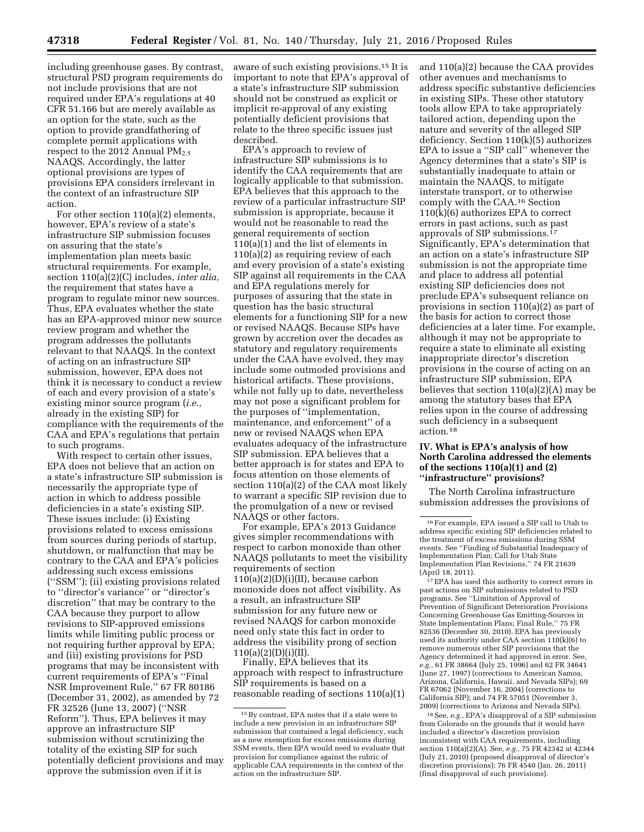including greenhouse gases. By contrast, structural PSD program requirements do not include provisions that are not required under EPA's regulations at 40 CFR 51.166 but are merely available as an option for the state, such as the option to provide grandfathering of complete permit applications with respect to the 2012 Annual  $PM_{2.5}$ NAAQS. Accordingly, the latter optional provisions are types of provisions EPA considers irrelevant in the context of an infrastructure SIP action.

For other section 110(a)(2) elements, however, EPA's review of a state's infrastructure SIP submission focuses on assuring that the state's implementation plan meets basic structural requirements. For example, section 110(a)(2)(C) includes, *inter alia,*  the requirement that states have a program to regulate minor new sources. Thus, EPA evaluates whether the state has an EPA-approved minor new source review program and whether the program addresses the pollutants relevant to that NAAQS. In the context of acting on an infrastructure SIP submission, however, EPA does not think it is necessary to conduct a review of each and every provision of a state's existing minor source program (*i.e.,*  already in the existing SIP) for compliance with the requirements of the CAA and EPA's regulations that pertain to such programs.

With respect to certain other issues, EPA does not believe that an action on a state's infrastructure SIP submission is necessarily the appropriate type of action in which to address possible deficiencies in a state's existing SIP. These issues include: (i) Existing provisions related to excess emissions from sources during periods of startup, shutdown, or malfunction that may be contrary to the CAA and EPA's policies addressing such excess emissions (''SSM''); (ii) existing provisions related to ''director's variance'' or ''director's discretion'' that may be contrary to the CAA because they purport to allow revisions to SIP-approved emissions limits while limiting public process or not requiring further approval by EPA; and (iii) existing provisions for PSD programs that may be inconsistent with current requirements of EPA's ''Final NSR Improvement Rule,'' 67 FR 80186 (December 31, 2002), as amended by 72 FR 32526 (June 13, 2007) (''NSR Reform''). Thus, EPA believes it may approve an infrastructure SIP submission without scrutinizing the totality of the existing SIP for such potentially deficient provisions and may approve the submission even if it is

aware of such existing provisions.15 It is important to note that EPA's approval of a state's infrastructure SIP submission should not be construed as explicit or implicit re-approval of any existing potentially deficient provisions that relate to the three specific issues just described.

EPA's approach to review of infrastructure SIP submissions is to identify the CAA requirements that are logically applicable to that submission. EPA believes that this approach to the review of a particular infrastructure SIP submission is appropriate, because it would not be reasonable to read the general requirements of section 110(a)(1) and the list of elements in 110(a)(2) as requiring review of each and every provision of a state's existing SIP against all requirements in the CAA and EPA regulations merely for purposes of assuring that the state in question has the basic structural elements for a functioning SIP for a new or revised NAAQS. Because SIPs have grown by accretion over the decades as statutory and regulatory requirements under the CAA have evolved, they may include some outmoded provisions and historical artifacts. These provisions, while not fully up to date, nevertheless may not pose a significant problem for the purposes of ''implementation, maintenance, and enforcement'' of a new or revised NAAQS when EPA evaluates adequacy of the infrastructure SIP submission. EPA believes that a better approach is for states and EPA to focus attention on those elements of section 110(a)(2) of the CAA most likely to warrant a specific SIP revision due to the promulgation of a new or revised NAAQS or other factors.

For example, EPA's 2013 Guidance gives simpler recommendations with respect to carbon monoxide than other NAAQS pollutants to meet the visibility requirements of section  $110(a)(2)(D)(i)(II)$ , because carbon monoxide does not affect visibility. As a result, an infrastructure SIP submission for any future new or revised NAAQS for carbon monoxide need only state this fact in order to address the visibility prong of section  $110(a)(2)(D)(i)(II).$ 

Finally, EPA believes that its approach with respect to infrastructure SIP requirements is based on a reasonable reading of sections 110(a)(1) and 110(a)(2) because the CAA provides other avenues and mechanisms to address specific substantive deficiencies in existing SIPs. These other statutory tools allow EPA to take appropriately tailored action, depending upon the nature and severity of the alleged SIP deficiency. Section 110(k)(5) authorizes EPA to issue a ''SIP call'' whenever the Agency determines that a state's SIP is substantially inadequate to attain or maintain the NAAQS, to mitigate interstate transport, or to otherwise comply with the CAA.16 Section 110(k)(6) authorizes EPA to correct errors in past actions, such as past approvals of SIP submissions.17 Significantly, EPA's determination that an action on a state's infrastructure SIP submission is not the appropriate time and place to address all potential existing SIP deficiencies does not preclude EPA's subsequent reliance on provisions in section 110(a)(2) as part of the basis for action to correct those deficiencies at a later time. For example, although it may not be appropriate to require a state to eliminate all existing inappropriate director's discretion provisions in the course of acting on an infrastructure SIP submission, EPA believes that section 110(a)(2)(A) may be among the statutory bases that EPA relies upon in the course of addressing such deficiency in a subsequent action.18

## **IV. What is EPA's analysis of how North Carolina addressed the elements of the sections 110(a)(1) and (2) ''infrastructure'' provisions?**

The North Carolina infrastructure submission addresses the provisions of

17EPA has used this authority to correct errors in past actions on SIP submissions related to PSD programs. See ''Limitation of Approval of Prevention of Significant Deterioration Provisions Concerning Greenhouse Gas Emitting-Sources in State Implementation Plans; Final Rule,'' 75 FR 82536 (December 30, 2010). EPA has previously used its authority under CAA section 110(k)(6) to remove numerous other SIP provisions that the Agency determined it had approved in error. See, *e.g.,* 61 FR 38664 (July 25, 1996) and 62 FR 34641 (June 27, 1997) (corrections to American Samoa, Arizona, California, Hawaii, and Nevada SIPs); 69 FR 67062 (November 16, 2004) (corrections to California SIP); and 74 FR 57051 (November 3, 2009) (corrections to Arizona and Nevada SIPs).

18See, *e.g.,* EPA's disapproval of a SIP submission from Colorado on the grounds that it would have included a director's discretion provision inconsistent with CAA requirements, including section 110(a)(2)(A). See, *e.g.,* 75 FR 42342 at 42344 (July 21, 2010) (proposed disapproval of director's discretion provisions); 76 FR 4540 (Jan. 26, 2011) (final disapproval of such provisions).

 $^{15}\rm{By}$  contrast, EPA notes that if a state were to include a new provision in an infrastructure SIP submission that contained a legal deficiency, such as a new exemption for excess emissions during SSM events, then EPA would need to evaluate that provision for compliance against the rubric of applicable CAA requirements in the context of the action on the infrastructure SIP.

<sup>16</sup>For example, EPA issued a SIP call to Utah to address specific existing SIP deficiencies related to the treatment of excess emissions during SSM events. See ''Finding of Substantial Inadequacy of Implementation Plan; Call for Utah State Implementation Plan Revisions,'' 74 FR 21639 (April 18, 2011).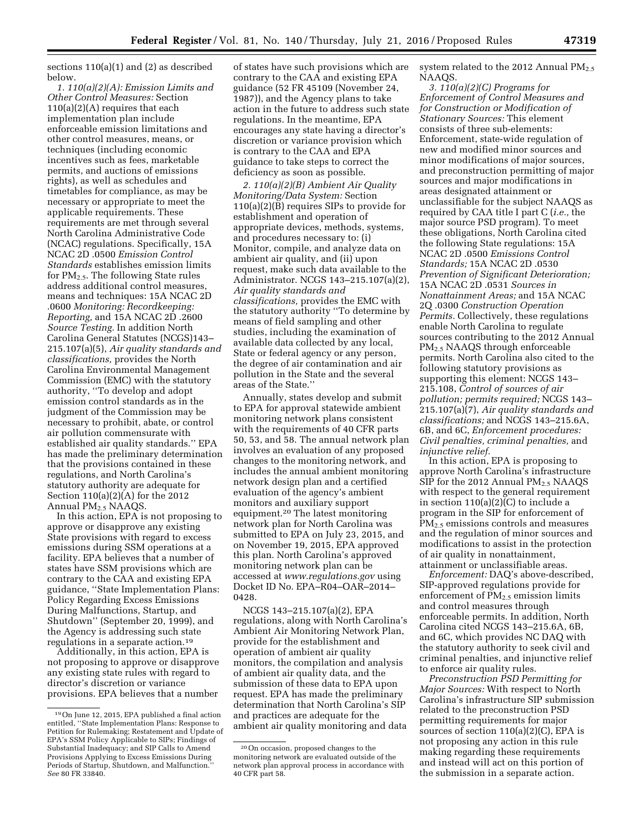sections 110(a)(1) and (2) as described below.

*1. 110(a)(2)(A): Emission Limits and Other Control Measures:* Section  $110(a)(2)(A)$  requires that each implementation plan include enforceable emission limitations and other control measures, means, or techniques (including economic incentives such as fees, marketable permits, and auctions of emissions rights), as well as schedules and timetables for compliance, as may be necessary or appropriate to meet the applicable requirements. These requirements are met through several North Carolina Administrative Code (NCAC) regulations. Specifically, 15A NCAC 2D .0500 *Emission Control Standards* establishes emission limits for  $PM_{2.5}$ . The following State rules address additional control measures, means and techniques: 15A NCAC 2D .0600 *Monitoring: Recordkeeping: Reporting,* and 15A NCAC 2D .2600 *Source Testing.* In addition North Carolina General Statutes (NCGS)143– 215.107(a)(5), *Air quality standards and classifications,* provides the North Carolina Environmental Management Commission (EMC) with the statutory authority, ''To develop and adopt emission control standards as in the judgment of the Commission may be necessary to prohibit, abate, or control air pollution commensurate with established air quality standards.'' EPA has made the preliminary determination that the provisions contained in these regulations, and North Carolina's statutory authority are adequate for Section 110(a)(2)(A) for the 2012 Annual PM2.5 NAAQS.

In this action, EPA is not proposing to approve or disapprove any existing State provisions with regard to excess emissions during SSM operations at a facility. EPA believes that a number of states have SSM provisions which are contrary to the CAA and existing EPA guidance, ''State Implementation Plans: Policy Regarding Excess Emissions During Malfunctions, Startup, and Shutdown'' (September 20, 1999), and the Agency is addressing such state regulations in a separate action.19

Additionally, in this action, EPA is not proposing to approve or disapprove any existing state rules with regard to director's discretion or variance provisions. EPA believes that a number

of states have such provisions which are contrary to the CAA and existing EPA guidance (52 FR 45109 (November 24, 1987)), and the Agency plans to take action in the future to address such state regulations. In the meantime, EPA encourages any state having a director's discretion or variance provision which is contrary to the CAA and EPA guidance to take steps to correct the deficiency as soon as possible.

*2. 110(a)(2)(B) Ambient Air Quality Monitoring/Data System:* Section 110(a)(2)(B) requires SIPs to provide for establishment and operation of appropriate devices, methods, systems, and procedures necessary to: (i) Monitor, compile, and analyze data on ambient air quality, and (ii) upon request, make such data available to the Administrator. NCGS 143–215.107(a)(2), *Air quality standards and classifications,* provides the EMC with the statutory authority ''To determine by means of field sampling and other studies, including the examination of available data collected by any local, State or federal agency or any person, the degree of air contamination and air pollution in the State and the several areas of the State.''

Annually, states develop and submit to EPA for approval statewide ambient monitoring network plans consistent with the requirements of 40 CFR parts 50, 53, and 58. The annual network plan involves an evaluation of any proposed changes to the monitoring network, and includes the annual ambient monitoring network design plan and a certified evaluation of the agency's ambient monitors and auxiliary support equipment.20 The latest monitoring network plan for North Carolina was submitted to EPA on July 23, 2015, and on November 19, 2015, EPA approved this plan. North Carolina's approved monitoring network plan can be accessed at *[www.regulations.gov](http://www.regulations.gov)* using Docket ID No. EPA–R04–OAR–2014– 0428.

NCGS 143–215.107(a)(2), EPA regulations, along with North Carolina's Ambient Air Monitoring Network Plan, provide for the establishment and operation of ambient air quality monitors, the compilation and analysis of ambient air quality data, and the submission of these data to EPA upon request. EPA has made the preliminary determination that North Carolina's SIP and practices are adequate for the ambient air quality monitoring and data system related to the 2012 Annual  $PM_{2.5}$ NAAQS.

*3. 110(a)(2)(C) Programs for Enforcement of Control Measures and for Construction or Modification of Stationary Sources:* This element consists of three sub-elements: Enforcement, state-wide regulation of new and modified minor sources and minor modifications of major sources, and preconstruction permitting of major sources and major modifications in areas designated attainment or unclassifiable for the subject NAAQS as required by CAA title I part C (*i.e.,* the major source PSD program). To meet these obligations, North Carolina cited the following State regulations: 15A NCAC 2D .0500 *Emissions Control Standards;* 15A NCAC 2D .0530 *Prevention of Significant Deterioration;*  15A NCAC 2D .0531 *Sources in Nonattainment Areas;* and 15A NCAC 2Q .0300 *Construction Operation Permits.* Collectively, these regulations enable North Carolina to regulate sources contributing to the 2012 Annual PM2.5 NAAQS through enforceable permits. North Carolina also cited to the following statutory provisions as supporting this element: NCGS 143– 215.108, *Control of sources of air pollution; permits required;* NCGS 143– 215.107(a)(7), *Air quality standards and classifications;* and NCGS 143–215.6A, 6B, and 6C, *Enforcement procedures: Civil penalties, criminal penalties,* and *injunctive relief.* 

In this action, EPA is proposing to approve North Carolina's infrastructure SIP for the 2012 Annual  $PM_{2.5}$  NAAQS with respect to the general requirement in section  $110(a)(2)$ (C) to include a program in the SIP for enforcement of PM2.5 emissions controls and measures and the regulation of minor sources and modifications to assist in the protection of air quality in nonattainment, attainment or unclassifiable areas.

*Enforcement:* DAQ's above-described, SIP-approved regulations provide for enforcement of  $PM<sub>2.5</sub>$  emission limits and control measures through enforceable permits. In addition, North Carolina cited NCGS 143–215.6A, 6B, and 6C, which provides NC DAQ with the statutory authority to seek civil and criminal penalties, and injunctive relief to enforce air quality rules.

*Preconstruction PSD Permitting for Major Sources:* With respect to North Carolina's infrastructure SIP submission related to the preconstruction PSD permitting requirements for major sources of section  $110(a)(2)(C)$ , EPA is not proposing any action in this rule making regarding these requirements and instead will act on this portion of the submission in a separate action.

<sup>19</sup>On June 12, 2015, EPA published a final action entitled, ''State Implementation Plans: Response to Petition for Rulemaking; Restatement and Update of EPA's SSM Policy Applicable to SIPs; Findings of Substantial Inadequacy; and SIP Calls to Amend Provisions Applying to Excess Emissions During Periods of Startup, Shutdown, and Malfunction.'' *See* 80 FR 33840.

<sup>20</sup>On occasion, proposed changes to the monitoring network are evaluated outside of the network plan approval process in accordance with 40 CFR part 58.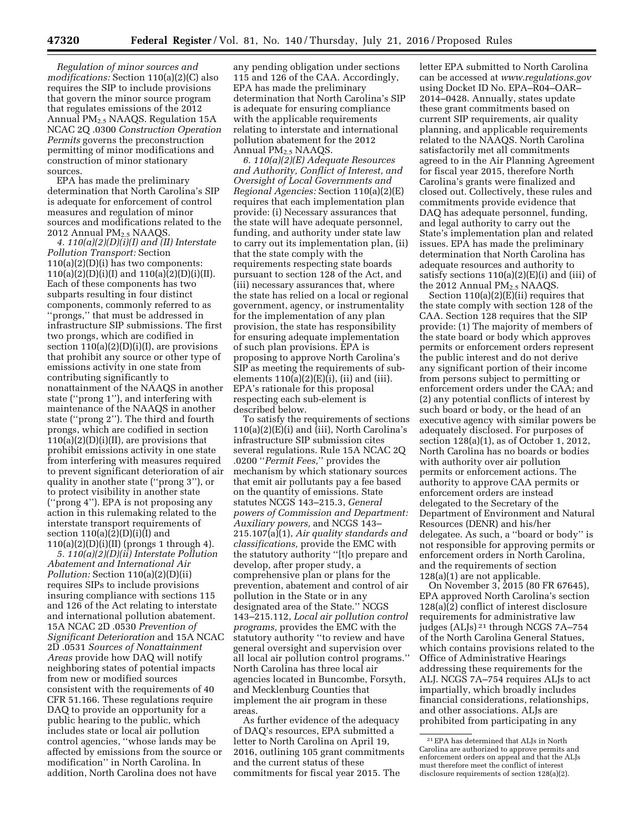*Regulation of minor sources and modifications:* Section 110(a)(2)(C) also requires the SIP to include provisions that govern the minor source program that regulates emissions of the 2012 Annual PM2.5 NAAQS. Regulation 15A NCAC 2Q .0300 *Construction Operation Permits* governs the preconstruction permitting of minor modifications and construction of minor stationary sources.

EPA has made the preliminary determination that North Carolina's SIP is adequate for enforcement of control measures and regulation of minor sources and modifications related to the 2012 Annual  $PM<sub>2</sub>$ , NAAOS.

*4. 110(a)(2)(D)(i)(I) and (II) Interstate Pollution Transport:* Section  $110(a)(2)(D)(i)$  has two components:  $110(a)(2)(D)(i)(I)$  and  $110(a)(2)(D)(i)(II)$ . Each of these components has two subparts resulting in four distinct components, commonly referred to as ''prongs,'' that must be addressed in infrastructure SIP submissions. The first two prongs, which are codified in section  $110(a)(2)(D)(i)(I)$ , are provisions that prohibit any source or other type of emissions activity in one state from contributing significantly to nonattainment of the NAAQS in another state (''prong 1''), and interfering with maintenance of the NAAQS in another state (''prong 2''). The third and fourth prongs, which are codified in section  $110(a)(2)(D)(i)(II)$ , are provisions that prohibit emissions activity in one state from interfering with measures required to prevent significant deterioration of air quality in another state (''prong 3''), or to protect visibility in another state (''prong 4''). EPA is not proposing any action in this rulemaking related to the interstate transport requirements of section  $110(a)(2)(D)(i)(I)$  and 110(a)(2)(D)(i)(II) (prongs 1 through 4).

*5. 110(a)(2)(D)(ii) Interstate Pollution Abatement and International Air Pollution:* Section 110(a)(2)(D)(ii) requires SIPs to include provisions insuring compliance with sections 115 and 126 of the Act relating to interstate and international pollution abatement. 15A NCAC 2D .0530 *Prevention of Significant Deterioration* and 15A NCAC 2D .0531 *Sources of Nonattainment Areas* provide how DAQ will notify neighboring states of potential impacts from new or modified sources consistent with the requirements of 40 CFR 51.166. These regulations require DAQ to provide an opportunity for a public hearing to the public, which includes state or local air pollution control agencies, ''whose lands may be affected by emissions from the source or modification'' in North Carolina. In addition, North Carolina does not have

any pending obligation under sections 115 and 126 of the CAA. Accordingly, EPA has made the preliminary determination that North Carolina's SIP is adequate for ensuring compliance with the applicable requirements relating to interstate and international pollution abatement for the 2012 Annual PM2.5 NAAQS.

*6. 110(a)(2)(E) Adequate Resources and Authority, Conflict of Interest, and Oversight of Local Governments and Regional Agencies:* Section 110(a)(2)(E) requires that each implementation plan provide: (i) Necessary assurances that the state will have adequate personnel, funding, and authority under state law to carry out its implementation plan, (ii) that the state comply with the requirements respecting state boards pursuant to section 128 of the Act, and (iii) necessary assurances that, where the state has relied on a local or regional government, agency, or instrumentality for the implementation of any plan provision, the state has responsibility for ensuring adequate implementation of such plan provisions. EPA is proposing to approve North Carolina's SIP as meeting the requirements of subelements  $110(a)(2)(E)(i)$ , (ii) and (iii). EPA's rationale for this proposal respecting each sub-element is described below.

To satisfy the requirements of sections  $110(a)(2)(E)(i)$  and (iii), North Carolina's infrastructure SIP submission cites several regulations. Rule 15A NCAC 2Q .0200 ''*Permit Fees,*'' provides the mechanism by which stationary sources that emit air pollutants pay a fee based on the quantity of emissions. State statutes NCGS 143–215.3, *General powers of Commission and Department: Auxiliary powers,* and NCGS 143– 215.107(a)(1), *Air quality standards and classifications,* provide the EMC with the statutory authority ''[t]o prepare and develop, after proper study, a comprehensive plan or plans for the prevention, abatement and control of air pollution in the State or in any designated area of the State.'' NCGS 143–215.112, *Local air pollution control programs,* provides the EMC with the statutory authority ''to review and have general oversight and supervision over all local air pollution control programs.'' North Carolina has three local air agencies located in Buncombe, Forsyth, and Mecklenburg Counties that implement the air program in these areas.

As further evidence of the adequacy of DAQ's resources, EPA submitted a letter to North Carolina on April 19, 2016, outlining 105 grant commitments and the current status of these commitments for fiscal year 2015. The

letter EPA submitted to North Carolina can be accessed at *[www.regulations.gov](http://www.regulations.gov)*  using Docket ID No. EPA–R04–OAR– 2014–0428. Annually, states update these grant commitments based on current SIP requirements, air quality planning, and applicable requirements related to the NAAQS. North Carolina satisfactorily met all commitments agreed to in the Air Planning Agreement for fiscal year 2015, therefore North Carolina's grants were finalized and closed out. Collectively, these rules and commitments provide evidence that DAQ has adequate personnel, funding, and legal authority to carry out the State's implementation plan and related issues. EPA has made the preliminary determination that North Carolina has adequate resources and authority to satisfy sections 110(a)(2)(E)(i) and (iii) of the 2012 Annual  $PM<sub>2</sub>$ , NAAOS.

Section 110(a)(2)(E)(ii) requires that the state comply with section 128 of the CAA. Section 128 requires that the SIP provide: (1) The majority of members of the state board or body which approves permits or enforcement orders represent the public interest and do not derive any significant portion of their income from persons subject to permitting or enforcement orders under the CAA; and (2) any potential conflicts of interest by such board or body, or the head of an executive agency with similar powers be adequately disclosed. For purposes of section 128(a)(1), as of October 1, 2012, North Carolina has no boards or bodies with authority over air pollution permits or enforcement actions. The authority to approve CAA permits or enforcement orders are instead delegated to the Secretary of the Department of Environment and Natural Resources (DENR) and his/her delegatee. As such, a ''board or body'' is not responsible for approving permits or enforcement orders in North Carolina, and the requirements of section 128(a)(1) are not applicable.

On November 3, 2015 (80 FR 67645), EPA approved North Carolina's section 128(a)(2) conflict of interest disclosure requirements for administrative law judges (ALJs) 21 through NCGS 7A–754 of the North Carolina General Statues, which contains provisions related to the Office of Administrative Hearings addressing these requirements for the ALJ. NCGS 7A–754 requires ALJs to act impartially, which broadly includes financial considerations, relationships, and other associations. ALJs are prohibited from participating in any

<sup>21</sup>EPA has determined that ALJs in North Carolina are authorized to approve permits and enforcement orders on appeal and that the ALJs must therefore meet the conflict of interest disclosure requirements of section 128(a)(2).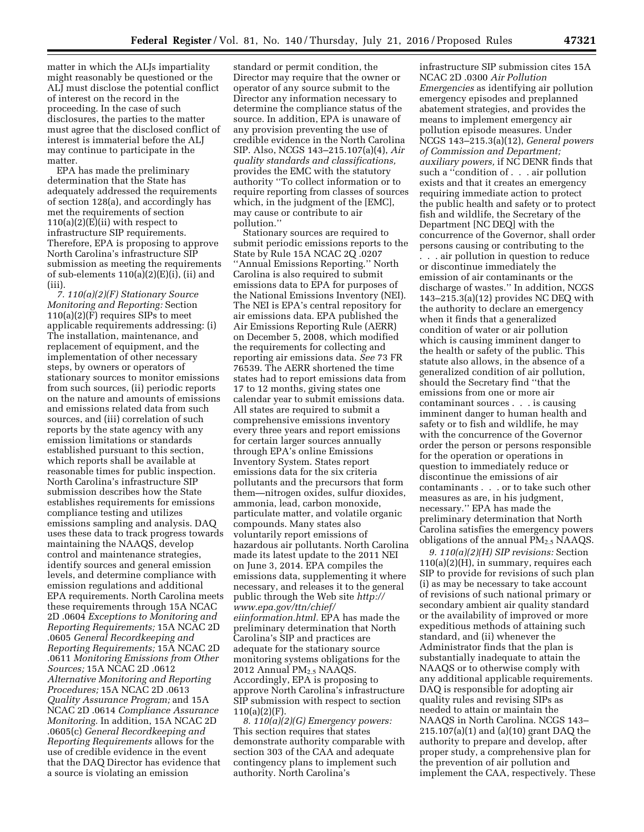matter in which the ALJs impartiality might reasonably be questioned or the ALJ must disclose the potential conflict of interest on the record in the proceeding. In the case of such disclosures, the parties to the matter must agree that the disclosed conflict of interest is immaterial before the ALJ may continue to participate in the matter.

EPA has made the preliminary determination that the State has adequately addressed the requirements of section 128(a), and accordingly has met the requirements of section  $110(a)(2)(E)(ii)$  with respect to infrastructure SIP requirements. Therefore, EPA is proposing to approve North Carolina's infrastructure SIP submission as meeting the requirements of sub-elements  $110(a)(2)(E)(i)$ , (ii) and (iii).

*7. 110(a)(2)(F) Stationary Source Monitoring and Reporting:* Section  $110(a)(2)(F)$  requires SIPs to meet applicable requirements addressing: (i) The installation, maintenance, and replacement of equipment, and the implementation of other necessary steps, by owners or operators of stationary sources to monitor emissions from such sources, (ii) periodic reports on the nature and amounts of emissions and emissions related data from such sources, and (iii) correlation of such reports by the state agency with any emission limitations or standards established pursuant to this section, which reports shall be available at reasonable times for public inspection. North Carolina's infrastructure SIP submission describes how the State establishes requirements for emissions compliance testing and utilizes emissions sampling and analysis. DAQ uses these data to track progress towards maintaining the NAAQS, develop control and maintenance strategies, identify sources and general emission levels, and determine compliance with emission regulations and additional EPA requirements. North Carolina meets these requirements through 15A NCAC 2D .0604 *Exceptions to Monitoring and Reporting Requirements;* 15A NCAC 2D .0605 *General Recordkeeping and Reporting Requirements;* 15A NCAC 2D .0611 *Monitoring Emissions from Other Sources;* 15A NCAC 2D .0612 *Alternative Monitoring and Reporting Procedures;* 15A NCAC 2D .0613 *Quality Assurance Program;* and 15A NCAC 2D .0614 *Compliance Assurance Monitoring.* In addition, 15A NCAC 2D .0605(c) *General Recordkeeping and Reporting Requirements* allows for the use of credible evidence in the event that the DAQ Director has evidence that a source is violating an emission

standard or permit condition, the Director may require that the owner or operator of any source submit to the Director any information necessary to determine the compliance status of the source. In addition, EPA is unaware of any provision preventing the use of credible evidence in the North Carolina SIP. Also, NCGS 143–215.107(a)(4), *Air quality standards and classifications,*  provides the EMC with the statutory authority ''To collect information or to require reporting from classes of sources which, in the judgment of the [EMC], may cause or contribute to air pollution.''

Stationary sources are required to submit periodic emissions reports to the State by Rule 15A NCAC 2Q .0207 ''Annual Emissions Reporting.'' North Carolina is also required to submit emissions data to EPA for purposes of the National Emissions Inventory (NEI). The NEI is EPA's central repository for air emissions data. EPA published the Air Emissions Reporting Rule (AERR) on December 5, 2008, which modified the requirements for collecting and reporting air emissions data. *See* 73 FR 76539. The AERR shortened the time states had to report emissions data from 17 to 12 months, giving states one calendar year to submit emissions data. All states are required to submit a comprehensive emissions inventory every three years and report emissions for certain larger sources annually through EPA's online Emissions Inventory System. States report emissions data for the six criteria pollutants and the precursors that form them—nitrogen oxides, sulfur dioxides, ammonia, lead, carbon monoxide, particulate matter, and volatile organic compounds. Many states also voluntarily report emissions of hazardous air pollutants. North Carolina made its latest update to the 2011 NEI on June 3, 2014. EPA compiles the emissions data, supplementing it where necessary, and releases it to the general public through the Web site *[http://](http://www.epa.gov/ttn/chief/eiinformation.html) [www.epa.gov/ttn/chief/](http://www.epa.gov/ttn/chief/eiinformation.html) [eiinformation.html.](http://www.epa.gov/ttn/chief/eiinformation.html)* EPA has made the preliminary determination that North Carolina's SIP and practices are adequate for the stationary source monitoring systems obligations for the 2012 Annual  $PM<sub>2.5</sub> NAAQS$ . Accordingly, EPA is proposing to approve North Carolina's infrastructure SIP submission with respect to section  $110(a)(2)(F)$ .

*8. 110(a)(2)(G) Emergency powers:*  This section requires that states demonstrate authority comparable with section 303 of the CAA and adequate contingency plans to implement such authority. North Carolina's

infrastructure SIP submission cites 15A NCAC 2D .0300 *Air Pollution Emergencies* as identifying air pollution emergency episodes and preplanned abatement strategies, and provides the means to implement emergency air pollution episode measures. Under NCGS 143–215.3(a)(12), *General powers of Commission and Department; auxiliary powers,* if NC DENR finds that such a ''condition of . . . air pollution exists and that it creates an emergency requiring immediate action to protect the public health and safety or to protect fish and wildlife, the Secretary of the Department [NC DEQ] with the concurrence of the Governor, shall order persons causing or contributing to the . . . air pollution in question to reduce or discontinue immediately the emission of air contaminants or the discharge of wastes.'' In addition, NCGS 143–215.3(a)(12) provides NC DEQ with the authority to declare an emergency when it finds that a generalized condition of water or air pollution which is causing imminent danger to the health or safety of the public. This statute also allows, in the absence of a generalized condition of air pollution, should the Secretary find ''that the emissions from one or more air contaminant sources . . . is causing imminent danger to human health and safety or to fish and wildlife, he may with the concurrence of the Governor order the person or persons responsible for the operation or operations in question to immediately reduce or discontinue the emissions of air contaminants . . . or to take such other measures as are, in his judgment, necessary.'' EPA has made the preliminary determination that North Carolina satisfies the emergency powers obligations of the annual  $PM<sub>2.5</sub> NAAQS$ .

*9. 110(a)(2)(H) SIP revisions:* Section 110(a)(2)(H), in summary, requires each SIP to provide for revisions of such plan (i) as may be necessary to take account of revisions of such national primary or secondary ambient air quality standard or the availability of improved or more expeditious methods of attaining such standard, and (ii) whenever the Administrator finds that the plan is substantially inadequate to attain the NAAQS or to otherwise comply with any additional applicable requirements. DAQ is responsible for adopting air quality rules and revising SIPs as needed to attain or maintain the NAAQS in North Carolina. NCGS 143– 215.107(a)(1) and (a)(10) grant DAQ the authority to prepare and develop, after proper study, a comprehensive plan for the prevention of air pollution and implement the CAA, respectively. These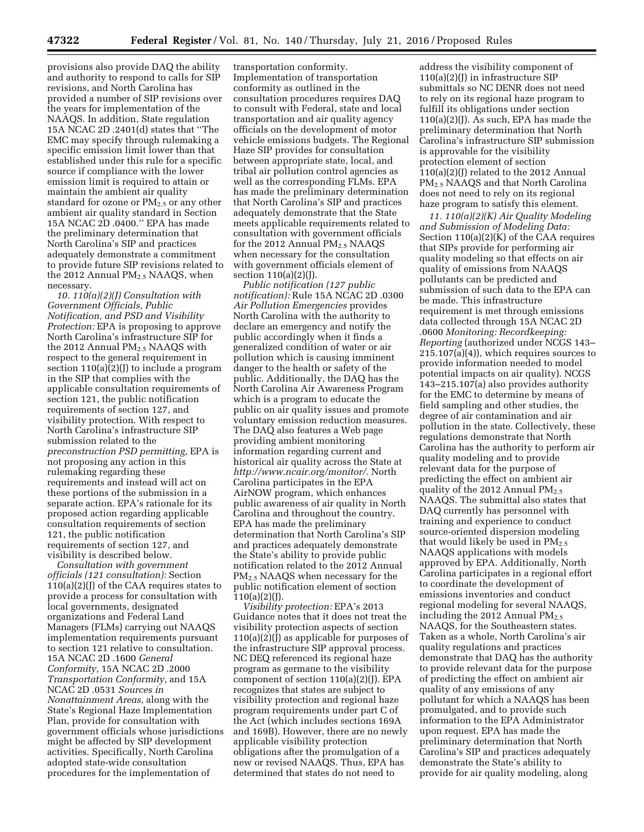provisions also provide DAQ the ability and authority to respond to calls for SIP revisions, and North Carolina has provided a number of SIP revisions over the years for implementation of the NAAQS. In addition, State regulation 15A NCAC 2D .2401(d) states that ''The EMC may specify through rulemaking a specific emission limit lower than that established under this rule for a specific source if compliance with the lower emission limit is required to attain or maintain the ambient air quality standard for ozone or  $PM_{2.5}$  or any other ambient air quality standard in Section 15A NCAC 2D .0400.'' EPA has made the preliminary determination that North Carolina's SIP and practices adequately demonstrate a commitment to provide future SIP revisions related to the 2012 Annual PM<sub>2.5</sub> NAAQS, when necessary.

*10. 110(a)(2)(J) Consultation with Government Officials, Public Notification, and PSD and Visibility Protection:* EPA is proposing to approve North Carolina's infrastructure SIP for the 2012 Annual PM2.5 NAAQS with respect to the general requirement in section  $110(a)(2)(J)$  to include a program in the SIP that complies with the applicable consultation requirements of section 121, the public notification requirements of section 127, and visibility protection. With respect to North Carolina's infrastructure SIP submission related to the *preconstruction PSD permitting,* EPA is not proposing any action in this rulemaking regarding these requirements and instead will act on these portions of the submission in a separate action. EPA's rationale for its proposed action regarding applicable consultation requirements of section 121, the public notification requirements of section 127, and visibility is described below.

*Consultation with government officials (121 consultation):* Section 110(a)(2)(J) of the CAA requires states to provide a process for consultation with local governments, designated organizations and Federal Land Managers (FLMs) carrying out NAAQS implementation requirements pursuant to section 121 relative to consultation. 15A NCAC 2D .1600 *General Conformity,* 15A NCAC 2D .2000 *Transportation Conformity,* and 15A NCAC 2D .0531 *Sources in Nonattainment Areas,* along with the State's Regional Haze Implementation Plan, provide for consultation with government officials whose jurisdictions might be affected by SIP development activities. Specifically, North Carolina adopted state-wide consultation procedures for the implementation of

transportation conformity. Implementation of transportation conformity as outlined in the consultation procedures requires DAQ to consult with Federal, state and local transportation and air quality agency officials on the development of motor vehicle emissions budgets. The Regional Haze SIP provides for consultation between appropriate state, local, and tribal air pollution control agencies as well as the corresponding FLMs. EPA has made the preliminary determination that North Carolina's SIP and practices adequately demonstrate that the State meets applicable requirements related to consultation with government officials for the 2012 Annual  $PM_{2.5}$  NAAQS when necessary for the consultation with government officials element of section 110(a)(2)(J).

*Public notification (127 public notification):* Rule 15A NCAC 2D .0300 *Air Pollution Emergencies* provides North Carolina with the authority to declare an emergency and notify the public accordingly when it finds a generalized condition of water or air pollution which is causing imminent danger to the health or safety of the public. Additionally, the DAQ has the North Carolina Air Awareness Program which is a program to educate the public on air quality issues and promote voluntary emission reduction measures. The DAQ also features a Web page providing ambient monitoring information regarding current and historical air quality across the State at *[http://www.ncair.org/monitor/.](http://www.ncair.org/monitor/)* North Carolina participates in the EPA AirNOW program, which enhances public awareness of air quality in North Carolina and throughout the country. EPA has made the preliminary determination that North Carolina's SIP and practices adequately demonstrate the State's ability to provide public notification related to the 2012 Annual PM2.5 NAAQS when necessary for the public notification element of section  $110(a)(2)(J).$ 

*Visibility protection:* EPA's 2013 Guidance notes that it does not treat the visibility protection aspects of section  $110(a)(2)$ ( $\overline{I}$ ) as applicable for purposes of the infrastructure SIP approval process. NC DEQ referenced its regional haze program as germane to the visibility component of section  $110(a)(2)(I)$ . EPA recognizes that states are subject to visibility protection and regional haze program requirements under part C of the Act (which includes sections 169A and 169B). However, there are no newly applicable visibility protection obligations after the promulgation of a new or revised NAAQS. Thus, EPA has determined that states do not need to

address the visibility component of 110(a)(2)(J) in infrastructure SIP submittals so NC DENR does not need to rely on its regional haze program to fulfill its obligations under section  $110(a)(2)(J)$ . As such, EPA has made the preliminary determination that North Carolina's infrastructure SIP submission is approvable for the visibility protection element of section  $110(a)(2)(J)$  related to the 2012 Annual PM<sub>2.5</sub> NAAQS and that North Carolina does not need to rely on its regional haze program to satisfy this element.

*11. 110(a)(2)(K) Air Quality Modeling and Submission of Modeling Data:*  Section 110(a)(2)(K) of the CAA requires that SIPs provide for performing air quality modeling so that effects on air quality of emissions from NAAQS pollutants can be predicted and submission of such data to the EPA can be made. This infrastructure requirement is met through emissions data collected through 15A NCAC 2D .0600 *Monitoring: Recordkeeping: Reporting* (authorized under NCGS 143– 215.107(a)(4)), which requires sources to provide information needed to model potential impacts on air quality). NCGS 143–215.107(a) also provides authority for the EMC to determine by means of field sampling and other studies, the degree of air contamination and air pollution in the state. Collectively, these regulations demonstrate that North Carolina has the authority to perform air quality modeling and to provide relevant data for the purpose of predicting the effect on ambient air quality of the 2012 Annual  $PM_{2.5}$ NAAQS. The submittal also states that DAQ currently has personnel with training and experience to conduct source-oriented dispersion modeling that would likely be used in  $PM_{2.5}$ NAAQS applications with models approved by EPA. Additionally, North Carolina participates in a regional effort to coordinate the development of emissions inventories and conduct regional modeling for several NAAQS, including the 2012 Annual  $PM_{2.5}$ NAAQS, for the Southeastern states. Taken as a whole, North Carolina's air quality regulations and practices demonstrate that DAQ has the authority to provide relevant data for the purpose of predicting the effect on ambient air quality of any emissions of any pollutant for which a NAAQS has been promulgated, and to provide such information to the EPA Administrator upon request. EPA has made the preliminary determination that North Carolina's SIP and practices adequately demonstrate the State's ability to provide for air quality modeling, along